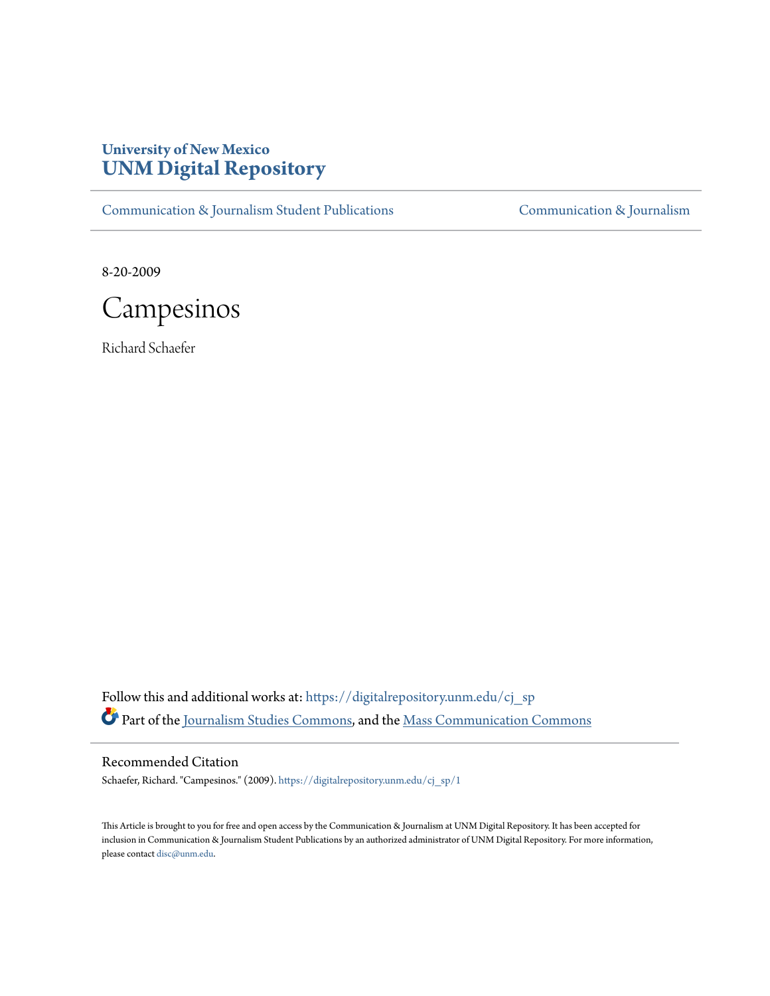## **University of New Mexico [UNM Digital Repository](https://digitalrepository.unm.edu?utm_source=digitalrepository.unm.edu%2Fcj_sp%2F1&utm_medium=PDF&utm_campaign=PDFCoverPages)**

[Communication & Journalism Student Publications](https://digitalrepository.unm.edu/cj_sp?utm_source=digitalrepository.unm.edu%2Fcj_sp%2F1&utm_medium=PDF&utm_campaign=PDFCoverPages) [Communication & Journalism](https://digitalrepository.unm.edu/cj?utm_source=digitalrepository.unm.edu%2Fcj_sp%2F1&utm_medium=PDF&utm_campaign=PDFCoverPages)

8-20-2009



Richard Schaefer

Follow this and additional works at: [https://digitalrepository.unm.edu/cj\\_sp](https://digitalrepository.unm.edu/cj_sp?utm_source=digitalrepository.unm.edu%2Fcj_sp%2F1&utm_medium=PDF&utm_campaign=PDFCoverPages) Part of the [Journalism Studies Commons](http://network.bepress.com/hgg/discipline/333?utm_source=digitalrepository.unm.edu%2Fcj_sp%2F1&utm_medium=PDF&utm_campaign=PDFCoverPages), and the [Mass Communication Commons](http://network.bepress.com/hgg/discipline/334?utm_source=digitalrepository.unm.edu%2Fcj_sp%2F1&utm_medium=PDF&utm_campaign=PDFCoverPages)

Recommended Citation

Schaefer, Richard. "Campesinos." (2009). [https://digitalrepository.unm.edu/cj\\_sp/1](https://digitalrepository.unm.edu/cj_sp/1?utm_source=digitalrepository.unm.edu%2Fcj_sp%2F1&utm_medium=PDF&utm_campaign=PDFCoverPages)

This Article is brought to you for free and open access by the Communication & Journalism at UNM Digital Repository. It has been accepted for inclusion in Communication & Journalism Student Publications by an authorized administrator of UNM Digital Repository. For more information, please contact [disc@unm.edu.](mailto:disc@unm.edu)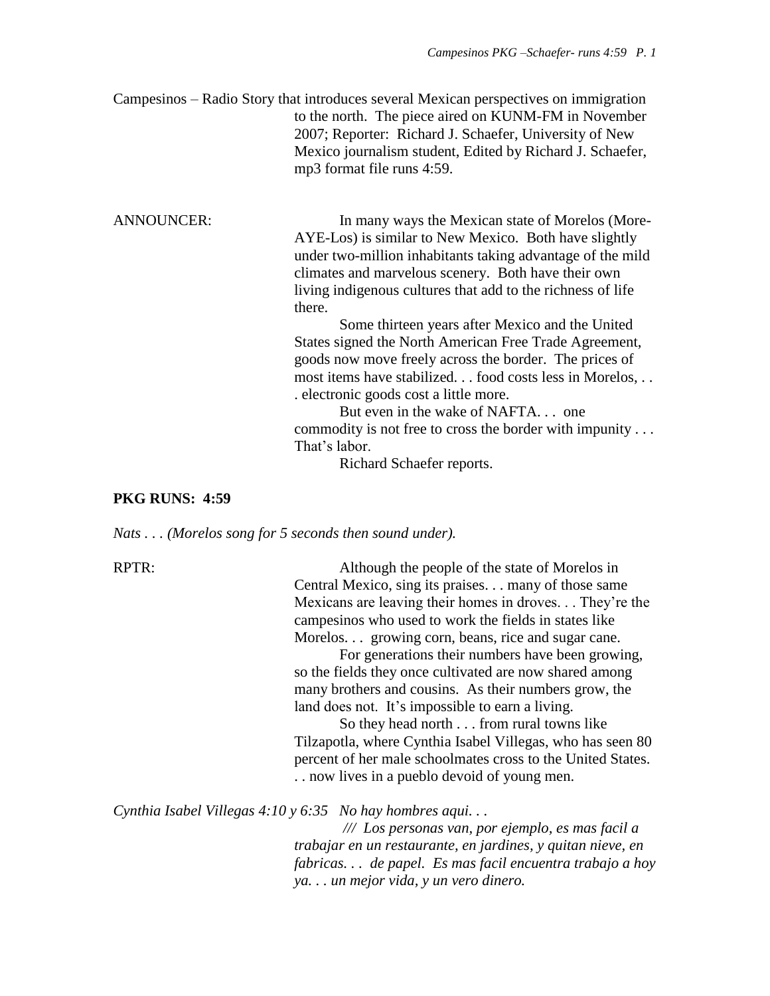Campesinos – Radio Story that introduces several Mexican perspectives on immigration to the north. The piece aired on KUNM-FM in November 2007; Reporter: Richard J. Schaefer, University of New Mexico journalism student, Edited by Richard J. Schaefer, mp3 format file runs 4:59.

ANNOUNCER: In many ways the Mexican state of Morelos (More-AYE-Los) is similar to New Mexico. Both have slightly under two-million inhabitants taking advantage of the mild climates and marvelous scenery. Both have their own living indigenous cultures that add to the richness of life there.

Some thirteen years after Mexico and the United States signed the North American Free Trade Agreement, goods now move freely across the border. The prices of most items have stabilized. . . food costs less in Morelos, . . . electronic goods cost a little more.

But even in the wake of NAFTA. . . one commodity is not free to cross the border with impunity . . . That's labor.

Richard Schaefer reports.

## **PKG RUNS: 4:59**

*Nats . . . (Morelos song for 5 seconds then sound under).*

RPTR: Although the people of the state of Morelos in Central Mexico, sing its praises. . . many of those same Mexicans are leaving their homes in droves. . . They're the campesinos who used to work the fields in states like Morelos. . . growing corn, beans, rice and sugar cane.

> For generations their numbers have been growing, so the fields they once cultivated are now shared among many brothers and cousins. As their numbers grow, the land does not. It's impossible to earn a living.

So they head north . . . from rural towns like Tilzapotla, where Cynthia Isabel Villegas, who has seen 80 percent of her male schoolmates cross to the United States. . . now lives in a pueblo devoid of young men.

*Cynthia Isabel Villegas 4:10 y 6:35 No hay hombres aqui. . .*

*/// Los personas van, por ejemplo, es mas facil a trabajar en un restaurante, en jardines, y quitan nieve, en fabricas. . . de papel. Es mas facil encuentra trabajo a hoy ya. . . un mejor vida, y un vero dinero.*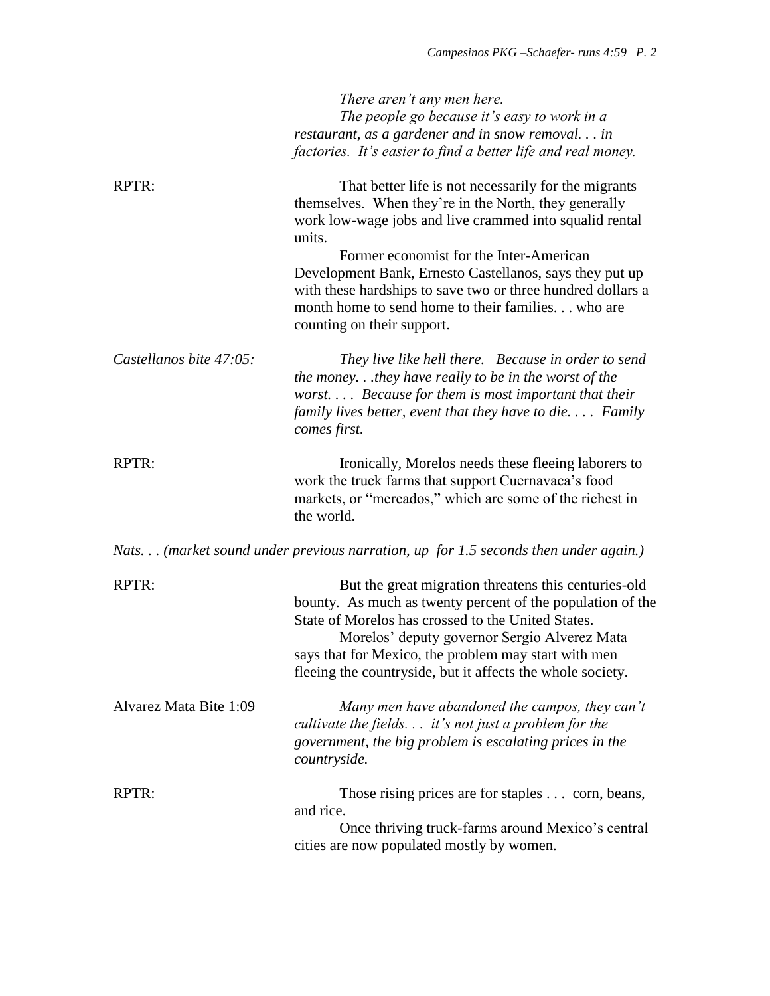|                         | There aren't any men here.<br>The people go because it's easy to work in a<br>restaurant, as a gardener and in snow removal in<br>factories. It's easier to find a better life and real money.                                                                                                                                                                                                                                             |
|-------------------------|--------------------------------------------------------------------------------------------------------------------------------------------------------------------------------------------------------------------------------------------------------------------------------------------------------------------------------------------------------------------------------------------------------------------------------------------|
| RPTR:                   | That better life is not necessarily for the migrants<br>themselves. When they're in the North, they generally<br>work low-wage jobs and live crammed into squalid rental<br>units.<br>Former economist for the Inter-American<br>Development Bank, Ernesto Castellanos, says they put up<br>with these hardships to save two or three hundred dollars a<br>month home to send home to their families who are<br>counting on their support. |
| Castellanos bite 47:05: | They live like hell there. Because in order to send<br>the money.they have really to be in the worst of the<br>worst Because for them is most important that their<br>family lives better, event that they have to die Family<br>comes first.                                                                                                                                                                                              |
| RPTR:                   | Ironically, Morelos needs these fleeing laborers to<br>work the truck farms that support Cuernavaca's food<br>markets, or "mercados," which are some of the richest in<br>the world.                                                                                                                                                                                                                                                       |
|                         | Nats (market sound under previous narration, up for 1.5 seconds then under again.)                                                                                                                                                                                                                                                                                                                                                         |
| <b>RPTR:</b>            | But the great migration threatens this centuries-old<br>bounty. As much as twenty percent of the population of the<br>State of Morelos has crossed to the United States.<br>Morelos' deputy governor Sergio Alverez Mata<br>says that for Mexico, the problem may start with men<br>fleeing the countryside, but it affects the whole society.                                                                                             |
| Alvarez Mata Bite 1:09  | Many men have abandoned the campos, they can't<br>cultivate the fields. $\ldots$ it's not just a problem for the<br>government, the big problem is escalating prices in the<br>countryside.                                                                                                                                                                                                                                                |
| RPTR:                   | Those rising prices are for staples corn, beans,<br>and rice.<br>Once thriving truck-farms around Mexico's central<br>cities are now populated mostly by women.                                                                                                                                                                                                                                                                            |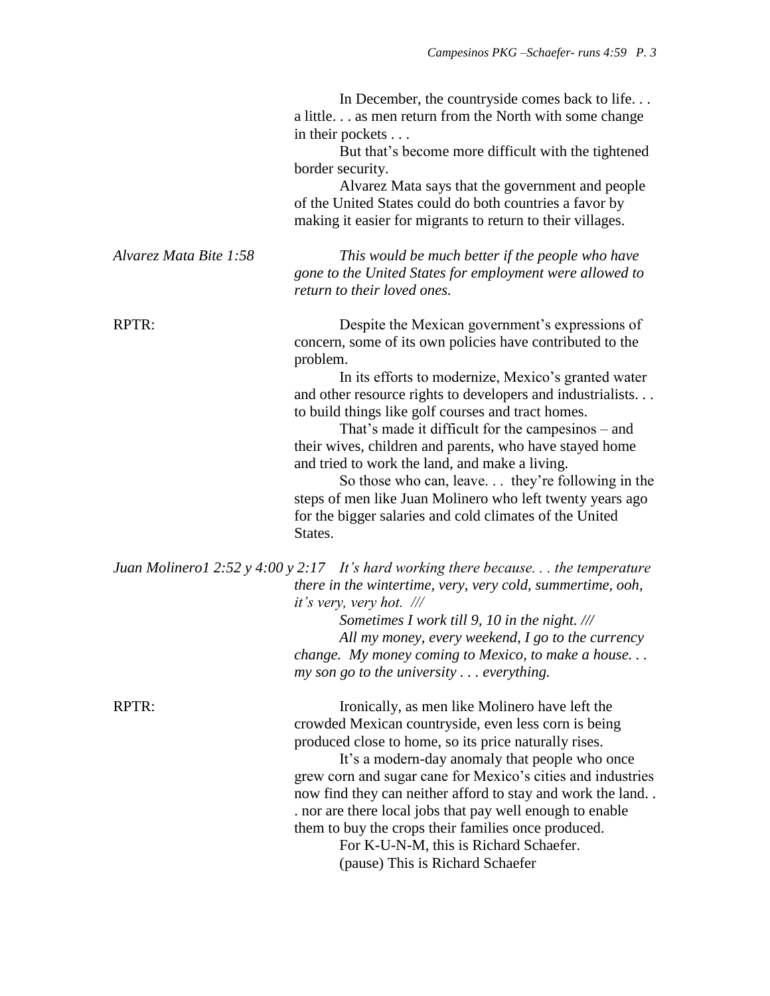|                        | In December, the countryside comes back to life<br>a little as men return from the North with some change<br>in their pockets<br>But that's become more difficult with the tightened<br>border security.<br>Alvarez Mata says that the government and people<br>of the United States could do both countries a favor by<br>making it easier for migrants to return to their villages.                                                                                                                                                                                                                                                                        |
|------------------------|--------------------------------------------------------------------------------------------------------------------------------------------------------------------------------------------------------------------------------------------------------------------------------------------------------------------------------------------------------------------------------------------------------------------------------------------------------------------------------------------------------------------------------------------------------------------------------------------------------------------------------------------------------------|
| Alvarez Mata Bite 1:58 | This would be much better if the people who have<br>gone to the United States for employment were allowed to<br>return to their loved ones.                                                                                                                                                                                                                                                                                                                                                                                                                                                                                                                  |
| RPTR:                  | Despite the Mexican government's expressions of<br>concern, some of its own policies have contributed to the<br>problem.<br>In its efforts to modernize, Mexico's granted water<br>and other resource rights to developers and industrialists<br>to build things like golf courses and tract homes.<br>That's made it difficult for the campesinos – and<br>their wives, children and parents, who have stayed home<br>and tried to work the land, and make a living.<br>So those who can, leave they're following in the<br>steps of men like Juan Molinero who left twenty years ago<br>for the bigger salaries and cold climates of the United<br>States. |
|                        | Juan Molinerol 2:52 y 4:00 y 2:17 It's hard working there because the temperature<br>there in the wintertime, very, very cold, summertime, ooh,<br>it's very, very hot. ///<br>Sometimes I work till 9, 10 in the night. ///<br>All my money, every weekend, I go to the currency<br>change. My money coming to Mexico, to make a house<br>$my son go to the university \dots everything.$                                                                                                                                                                                                                                                                   |
| RPTR:                  | Ironically, as men like Molinero have left the<br>crowded Mexican countryside, even less corn is being<br>produced close to home, so its price naturally rises.<br>It's a modern-day anomaly that people who once<br>grew corn and sugar cane for Mexico's cities and industries<br>now find they can neither afford to stay and work the land<br>. nor are there local jobs that pay well enough to enable<br>them to buy the crops their families once produced.<br>For K-U-N-M, this is Richard Schaefer.<br>(pause) This is Richard Schaefer                                                                                                             |